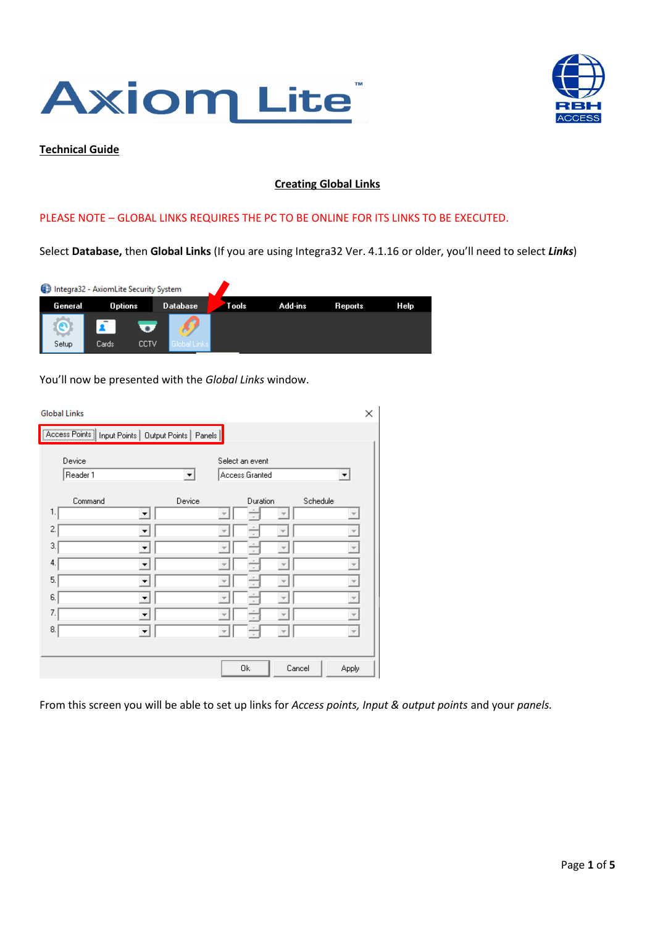



#### **Technical Guide**

## **Creating Global Links**

### PLEASE NOTE – GLOBAL LINKS REQUIRES THE PC TO BE ONLINE FOR ITS LINKS TO BE EXECUTED.

Select **Database,** then **Global Links** (If you are using Integra32 Ver. 4.1.16 or older, you'll need to select *Links*)

|         | Integra32 - AxiomLite Security System |      |                 |       |         |         |      |
|---------|---------------------------------------|------|-----------------|-------|---------|---------|------|
| General | <b>Options</b>                        |      | <b>Database</b> | Tools | Add-ins | Reports | Help |
|         |                                       |      |                 |       |         |         |      |
| Setup   | Cards:                                | CCTV | obal Links.     |       |         |         |      |

You'll now be presented with the *Global Links* window.

| <b>Global Links</b>                                      |                                        |                          |          |        |          |                          | X |  |  |
|----------------------------------------------------------|----------------------------------------|--------------------------|----------|--------|----------|--------------------------|---|--|--|
| [Access Points] Input Points   Output Points  <br>Panels |                                        |                          |          |        |          |                          |   |  |  |
| Device<br>Select an event<br>$\blacktriangledown$        |                                        |                          |          |        |          |                          |   |  |  |
| Reader 1                                                 | Access Granted<br>$\blacktriangledown$ |                          |          |        |          |                          |   |  |  |
| Command                                                  | Device                                 |                          | Duration |        | Schedule |                          |   |  |  |
| 1.                                                       |                                        |                          |          |        |          |                          |   |  |  |
| 2.<br>▼                                                  |                                        |                          |          |        |          |                          |   |  |  |
| 3.<br>▼                                                  |                                        |                          |          |        |          | $\overline{\phantom{a}}$ |   |  |  |
| 4.                                                       |                                        |                          |          |        |          | $\overline{\phantom{a}}$ |   |  |  |
| 5.<br>▼                                                  |                                        |                          |          |        |          |                          |   |  |  |
| 6.<br>▼                                                  |                                        | Ψ                        |          |        |          | $\overline{\phantom{m}}$ |   |  |  |
| 7.<br>▼                                                  |                                        |                          |          |        |          | $\overline{\mathbf{v}}$  |   |  |  |
| 8.<br>▼                                                  |                                        | $\overline{\mathcal{A}}$ |          |        |          | $\overline{\psi}$        |   |  |  |
|                                                          |                                        |                          |          |        |          |                          |   |  |  |
|                                                          |                                        |                          | 0k       | Cancel |          | Apply                    |   |  |  |

From this screen you will be able to set up links for *Access points, Input & output points* and your *panels.*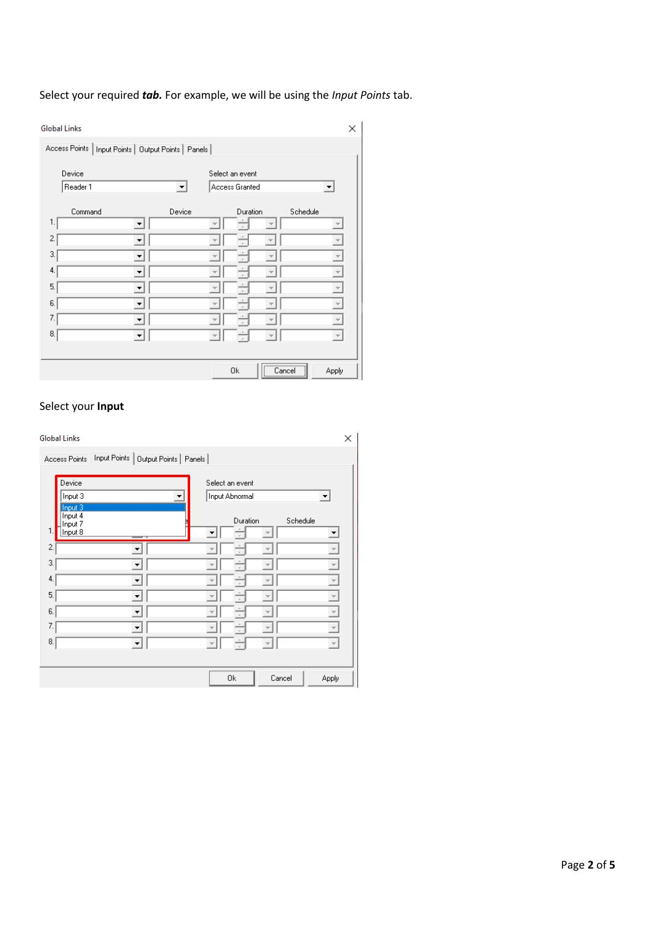Select your required *tab.* For example, we will be using the *Input Points* tab.

| <b>Global Links</b>                                   |                      |                                   | ×                        |
|-------------------------------------------------------|----------------------|-----------------------------------|--------------------------|
| Access Points   Input Points   Output Points   Panels |                      |                                   |                          |
| Device<br>Reader 1                                    | $\blacktriangledown$ | Select an event<br>Access Granted | ▼                        |
|                                                       |                      |                                   | Schedule                 |
| Command<br>1.                                         | Device               | Duration                          |                          |
| 2.<br>▼                                               |                      |                                   | $\overline{\phantom{m}}$ |
| 3.                                                    |                      |                                   | $\overline{\phantom{a}}$ |
| 4.                                                    |                      |                                   | $\overline{\mathbf{v}}$  |
| 5.                                                    |                      |                                   | $\overline{\mathcal{M}}$ |
| 6.                                                    |                      |                                   | $\overline{\phantom{a}}$ |
| 7.                                                    |                      |                                   |                          |
| 8.                                                    |                      |                                   | $\overline{\psi}$        |
|                                                       |                      |                                   |                          |
|                                                       |                      | ,<br>0k<br>Cancel                 | Apply                    |

# Select your **Input**

| <b>Global Links</b>                                   | ×                                                             |
|-------------------------------------------------------|---------------------------------------------------------------|
| Access Points   Input Points   Output Points   Panels |                                                               |
| Device<br>Input 3                                     | Select an event<br>Input Abnormal<br>$\overline{\phantom{a}}$ |
| Input 3<br>Input 4<br>Input 7<br>1.<br>Input 8        | Schedule<br>Duration                                          |
| 2.                                                    | $\overline{\mathcal{N}}$                                      |
| 3.<br>$\overline{\phantom{a}}$                        | $\overline{\psi}$                                             |
| 4.<br>▼                                               | $\overline{\mathcal{M}}$                                      |
| 5.<br>▼                                               | $\overline{\mathbf{v}}$                                       |
| 6.<br>$\blacktriangledown$                            | $\overline{\mathbf{v}}$<br>Ψ                                  |
| 7.<br>$\overline{\phantom{a}}$                        | $\overline{\psi}$                                             |
| 8.<br>$\blacktriangledown$                            | $\overline{\psi}$<br>$\overline{\mathcal{N}}$                 |
|                                                       |                                                               |
|                                                       | Cancel<br>0k<br>Apply                                         |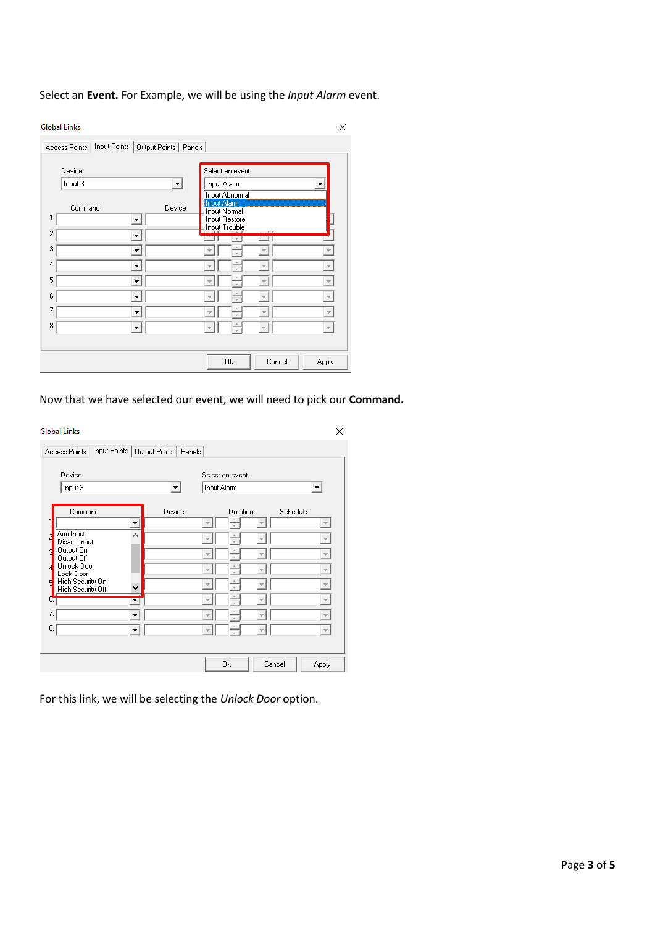# Select an **Event.** For Example, we will be using the *Input Alarm* event.

| <b>Global Links</b>                                       | X                                                                             |
|-----------------------------------------------------------|-------------------------------------------------------------------------------|
| Input Points<br>Output Points   Panels  <br>Access Points |                                                                               |
| Device<br>Input 3<br>▾                                    | Select an event<br>Input Alarm<br><b>Input Abnormal</b><br><b>Input Alarm</b> |
| Device<br>Command<br>1.                                   | <b>Input Normal</b><br>Input Restore<br>Input Trouble                         |
| $\overline{c}$<br>3.                                      | $\tau$                                                                        |
| 4.                                                        |                                                                               |
| 5.                                                        |                                                                               |
| 6.                                                        |                                                                               |
| 7.                                                        |                                                                               |
| 8.                                                        |                                                                               |
|                                                           | Cancel<br>0k<br>Apply                                                         |

# Now that we have selected our event, we will need to pick our **Command.**

| <b>Global Links</b>                             |                                       |                                | ×                        |
|-------------------------------------------------|---------------------------------------|--------------------------------|--------------------------|
| Access Points                                   | Input Points   Output Points   Panels |                                |                          |
| Device<br>Input 3                               | ▾                                     | Select an event<br>Input Alarm | ▼                        |
| Command                                         | Device                                | Duration                       | Schedule                 |
| $\overline{\phantom{a}}$                        |                                       | $\overline{\phantom{a}}$       |                          |
| Arm Input<br>A<br>Disarm Input                  |                                       |                                |                          |
| Output On<br>Output Off                         |                                       | $\overline{\phantom{a}}$       | $\overline{\phantom{a}}$ |
| Unlock Door<br>Lock Door                        |                                       |                                | $\overline{\mathcal{M}}$ |
| High Security On<br>Ħ<br>High Security Off<br>٧ |                                       |                                |                          |
| 6.<br>▼                                         |                                       |                                |                          |
| 7.<br>▼                                         |                                       | $\overline{\phantom{a}}$       |                          |
| 8.                                              |                                       | $\overline{\mathcal{A}}$       | $\overline{\psi}$        |
|                                                 |                                       |                                |                          |
|                                                 |                                       | 0k                             | Cancel<br><b>Apply</b>   |

For this link, we will be selecting the *Unlock Door* option.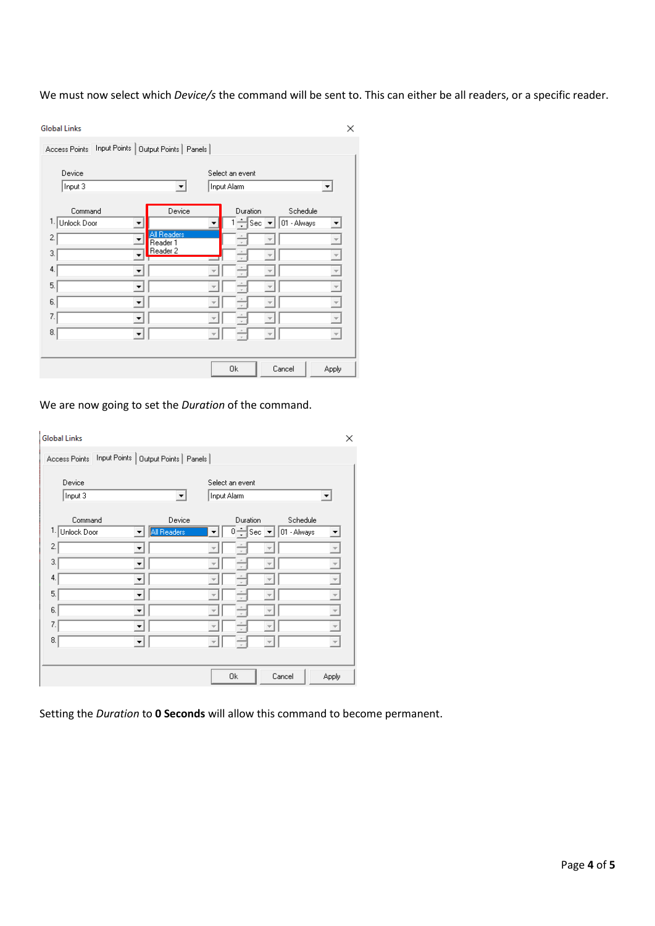We must now select which *Device/s* the command will be sent to. This can either be all readers, or a specific reader.

| Device             |                                                     | Select an event |             |                          |
|--------------------|-----------------------------------------------------|-----------------|-------------|--------------------------|
| Input 3            | ▼                                                   | Input Alarm     |             | ▼                        |
| Command            | Device                                              | Duration        | Schedule    |                          |
| 1.1<br>Unlock Door | ▼                                                   | ≑Sec ∑<br>▼     | 01 - Always |                          |
| 2.                 | All Readers<br>$\overline{\phantom{0}}$<br>Reader 1 |                 |             |                          |
| 3.                 | Reader 2                                            |                 |             |                          |
| 4.                 |                                                     |                 |             |                          |
| 5.                 | $\overline{\phantom{a}}$                            |                 |             | $\overline{\mathbf{v}}$  |
| 6.                 |                                                     |                 |             |                          |
| 7.                 |                                                     |                 |             |                          |
| 8.                 |                                                     |                 |             |                          |
|                    | ▼                                                   | Ψ               |             | $\overline{\phantom{m}}$ |

We are now going to set the *Duration* of the command.

| <b>Global Links</b><br>Input Points   Output Points   Panels  <br>Access Points |             |                         |                                                         |        |             |                          | × |
|---------------------------------------------------------------------------------|-------------|-------------------------|---------------------------------------------------------|--------|-------------|--------------------------|---|
| Device<br>Input 3                                                               | ▼           | Input Alarm             | Select an event                                         |        |             | $\blacktriangledown$     |   |
| Command                                                                         | Device      |                         | Duration                                                |        | Schedule    |                          |   |
| 1.<br>Unlock Door                                                               | All Readers |                         | $\overline{0}$ $\div$ Sec $\boxed{\bullet}$ $\parallel$ |        | 01 - Always | ▼                        |   |
| 2.                                                                              |             |                         |                                                         |        |             | $\overline{\psi}$        |   |
| 3.<br>▼                                                                         |             |                         |                                                         |        |             | $\overline{\nabla}$      |   |
| 4.                                                                              |             |                         |                                                         |        |             | $\overline{\phantom{a}}$ |   |
| 5.<br>▼                                                                         |             |                         |                                                         |        |             | $\overline{\mathbf{v}}$  |   |
| 6.<br>$\overline{\phantom{a}}$                                                  |             |                         |                                                         |        |             | $\overline{\phantom{m}}$ |   |
| 7.<br>$\overline{\phantom{a}}$                                                  |             |                         |                                                         |        |             | $\overline{\psi}$        |   |
| 8.<br>$\blacktriangledown$                                                      |             | $\overline{\mathbf{v}}$ |                                                         |        |             | $\overline{\mathcal{P}}$ |   |
|                                                                                 |             |                         |                                                         |        |             |                          |   |
|                                                                                 |             |                         | 0k                                                      | Cancel |             | Apply                    |   |

Setting the *Duration* to **0 Seconds** will allow this command to become permanent.